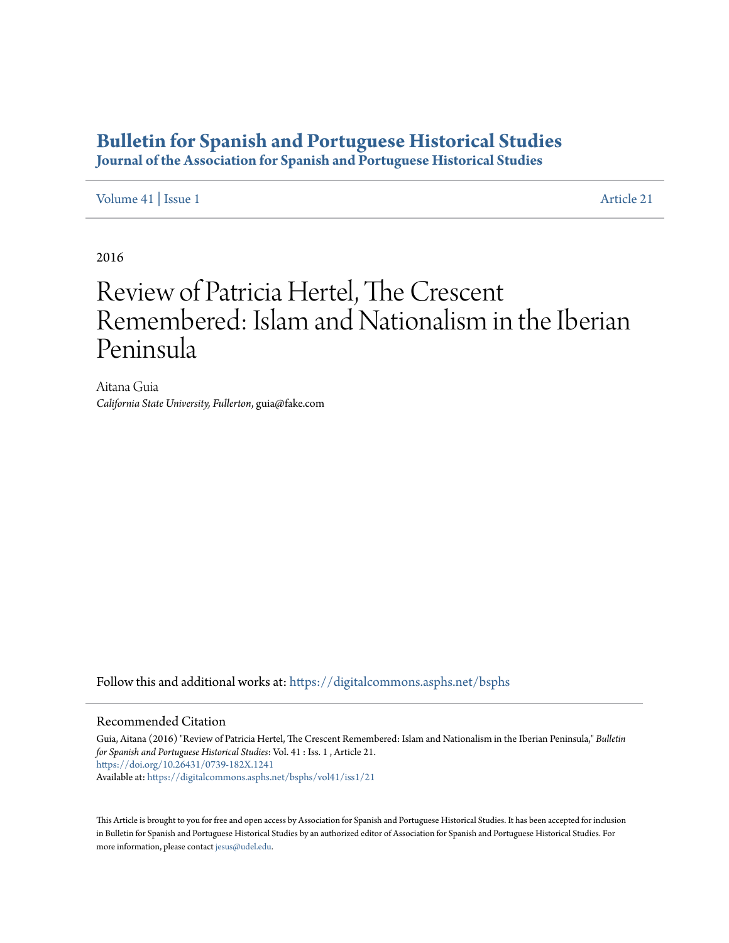## **[Bulletin for Spanish and Portuguese Historical Studies](https://digitalcommons.asphs.net/bsphs?utm_source=digitalcommons.asphs.net%2Fbsphs%2Fvol41%2Fiss1%2F21&utm_medium=PDF&utm_campaign=PDFCoverPages)**

**Journal of the Association for Spanish and Portuguese Historical Studies**

[Volume 41](https://digitalcommons.asphs.net/bsphs/vol41?utm_source=digitalcommons.asphs.net%2Fbsphs%2Fvol41%2Fiss1%2F21&utm_medium=PDF&utm_campaign=PDFCoverPages) | [Issue 1](https://digitalcommons.asphs.net/bsphs/vol41/iss1?utm_source=digitalcommons.asphs.net%2Fbsphs%2Fvol41%2Fiss1%2F21&utm_medium=PDF&utm_campaign=PDFCoverPages) [Article 21](https://digitalcommons.asphs.net/bsphs/vol41/iss1/21?utm_source=digitalcommons.asphs.net%2Fbsphs%2Fvol41%2Fiss1%2F21&utm_medium=PDF&utm_campaign=PDFCoverPages)

2016

## Review of Patricia Hertel, The Crescent Remembered: Islam and Nationalism in the Iberian Peninsula

Aitana Guia *California State University, Fullerton*, guia@fake.com

Follow this and additional works at: [https://digitalcommons.asphs.net/bsphs](https://digitalcommons.asphs.net/bsphs?utm_source=digitalcommons.asphs.net%2Fbsphs%2Fvol41%2Fiss1%2F21&utm_medium=PDF&utm_campaign=PDFCoverPages)

## Recommended Citation

Guia, Aitana (2016) "Review of Patricia Hertel, The Crescent Remembered: Islam and Nationalism in the Iberian Peninsula," *Bulletin for Spanish and Portuguese Historical Studies*: Vol. 41 : Iss. 1 , Article 21. <https://doi.org/10.26431/0739-182X.1241> Available at: [https://digitalcommons.asphs.net/bsphs/vol41/iss1/21](https://digitalcommons.asphs.net/bsphs/vol41/iss1/21?utm_source=digitalcommons.asphs.net%2Fbsphs%2Fvol41%2Fiss1%2F21&utm_medium=PDF&utm_campaign=PDFCoverPages)

This Article is brought to you for free and open access by Association for Spanish and Portuguese Historical Studies. It has been accepted for inclusion in Bulletin for Spanish and Portuguese Historical Studies by an authorized editor of Association for Spanish and Portuguese Historical Studies. For more information, please contact [jesus@udel.edu](mailto:jesus@udel.edu).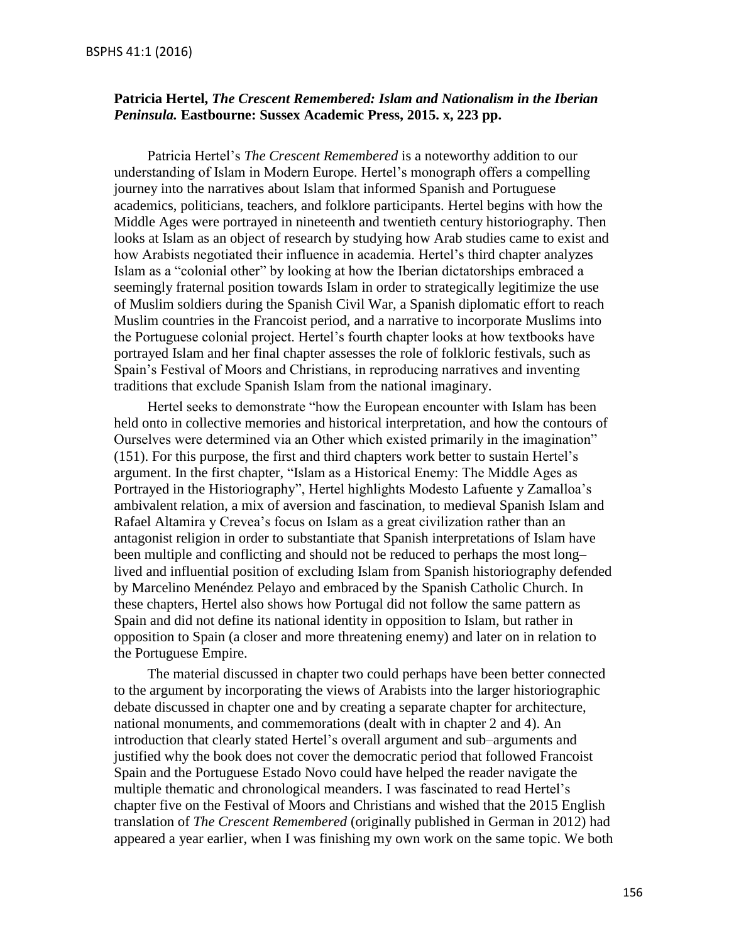## **Patricia Hertel,** *The Crescent Remembered: Islam and Nationalism in the Iberian Peninsula.* **Eastbourne: Sussex Academic Press, 2015. x, 223 pp.**

Patricia Hertel's *The Crescent Remembered* is a noteworthy addition to our understanding of Islam in Modern Europe. Hertel's monograph offers a compelling journey into the narratives about Islam that informed Spanish and Portuguese academics, politicians, teachers, and folklore participants. Hertel begins with how the Middle Ages were portrayed in nineteenth and twentieth century historiography. Then looks at Islam as an object of research by studying how Arab studies came to exist and how Arabists negotiated their influence in academia. Hertel's third chapter analyzes Islam as a "colonial other" by looking at how the Iberian dictatorships embraced a seemingly fraternal position towards Islam in order to strategically legitimize the use of Muslim soldiers during the Spanish Civil War, a Spanish diplomatic effort to reach Muslim countries in the Francoist period, and a narrative to incorporate Muslims into the Portuguese colonial project. Hertel's fourth chapter looks at how textbooks have portrayed Islam and her final chapter assesses the role of folkloric festivals, such as Spain's Festival of Moors and Christians, in reproducing narratives and inventing traditions that exclude Spanish Islam from the national imaginary.

Hertel seeks to demonstrate "how the European encounter with Islam has been held onto in collective memories and historical interpretation, and how the contours of Ourselves were determined via an Other which existed primarily in the imagination" (151). For this purpose, the first and third chapters work better to sustain Hertel's argument. In the first chapter, "Islam as a Historical Enemy: The Middle Ages as Portrayed in the Historiography", Hertel highlights Modesto Lafuente y Zamalloa's ambivalent relation, a mix of aversion and fascination, to medieval Spanish Islam and Rafael Altamira y Crevea's focus on Islam as a great civilization rather than an antagonist religion in order to substantiate that Spanish interpretations of Islam have been multiple and conflicting and should not be reduced to perhaps the most long– lived and influential position of excluding Islam from Spanish historiography defended by Marcelino Menéndez Pelayo and embraced by the Spanish Catholic Church. In these chapters, Hertel also shows how Portugal did not follow the same pattern as Spain and did not define its national identity in opposition to Islam, but rather in opposition to Spain (a closer and more threatening enemy) and later on in relation to the Portuguese Empire.

The material discussed in chapter two could perhaps have been better connected to the argument by incorporating the views of Arabists into the larger historiographic debate discussed in chapter one and by creating a separate chapter for architecture, national monuments, and commemorations (dealt with in chapter 2 and 4). An introduction that clearly stated Hertel's overall argument and sub–arguments and justified why the book does not cover the democratic period that followed Francoist Spain and the Portuguese Estado Novo could have helped the reader navigate the multiple thematic and chronological meanders. I was fascinated to read Hertel's chapter five on the Festival of Moors and Christians and wished that the 2015 English translation of *The Crescent Remembered* (originally published in German in 2012) had appeared a year earlier, when I was finishing my own work on the same topic. We both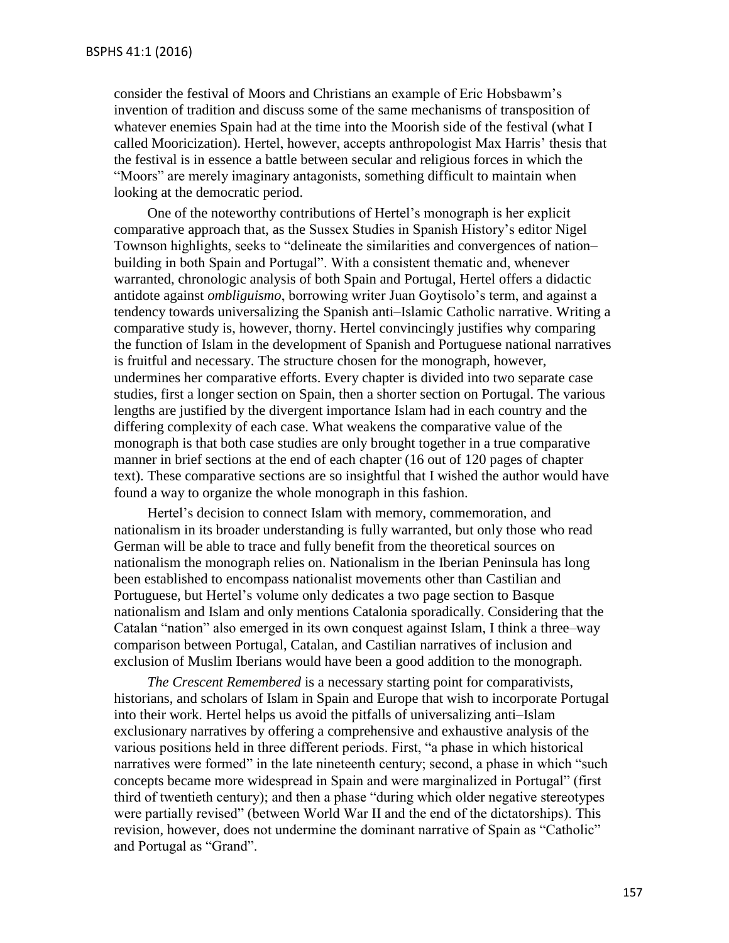consider the festival of Moors and Christians an example of Eric Hobsbawm's invention of tradition and discuss some of the same mechanisms of transposition of whatever enemies Spain had at the time into the Moorish side of the festival (what I called Mooricization). Hertel, however, accepts anthropologist Max Harris' thesis that the festival is in essence a battle between secular and religious forces in which the "Moors" are merely imaginary antagonists, something difficult to maintain when looking at the democratic period.

One of the noteworthy contributions of Hertel's monograph is her explicit comparative approach that, as the Sussex Studies in Spanish History's editor Nigel Townson highlights, seeks to "delineate the similarities and convergences of nation– building in both Spain and Portugal". With a consistent thematic and, whenever warranted, chronologic analysis of both Spain and Portugal, Hertel offers a didactic antidote against *ombliguismo*, borrowing writer Juan Goytisolo's term, and against a tendency towards universalizing the Spanish anti–Islamic Catholic narrative. Writing a comparative study is, however, thorny. Hertel convincingly justifies why comparing the function of Islam in the development of Spanish and Portuguese national narratives is fruitful and necessary. The structure chosen for the monograph, however, undermines her comparative efforts. Every chapter is divided into two separate case studies, first a longer section on Spain, then a shorter section on Portugal. The various lengths are justified by the divergent importance Islam had in each country and the differing complexity of each case. What weakens the comparative value of the monograph is that both case studies are only brought together in a true comparative manner in brief sections at the end of each chapter (16 out of 120 pages of chapter text). These comparative sections are so insightful that I wished the author would have found a way to organize the whole monograph in this fashion.

Hertel's decision to connect Islam with memory, commemoration, and nationalism in its broader understanding is fully warranted, but only those who read German will be able to trace and fully benefit from the theoretical sources on nationalism the monograph relies on. Nationalism in the Iberian Peninsula has long been established to encompass nationalist movements other than Castilian and Portuguese, but Hertel's volume only dedicates a two page section to Basque nationalism and Islam and only mentions Catalonia sporadically. Considering that the Catalan "nation" also emerged in its own conquest against Islam, I think a three–way comparison between Portugal, Catalan, and Castilian narratives of inclusion and exclusion of Muslim Iberians would have been a good addition to the monograph.

*The Crescent Remembered* is a necessary starting point for comparativists, historians, and scholars of Islam in Spain and Europe that wish to incorporate Portugal into their work. Hertel helps us avoid the pitfalls of universalizing anti–Islam exclusionary narratives by offering a comprehensive and exhaustive analysis of the various positions held in three different periods. First, "a phase in which historical narratives were formed" in the late nineteenth century; second, a phase in which "such concepts became more widespread in Spain and were marginalized in Portugal" (first third of twentieth century); and then a phase "during which older negative stereotypes were partially revised" (between World War II and the end of the dictatorships). This revision, however, does not undermine the dominant narrative of Spain as "Catholic" and Portugal as "Grand".